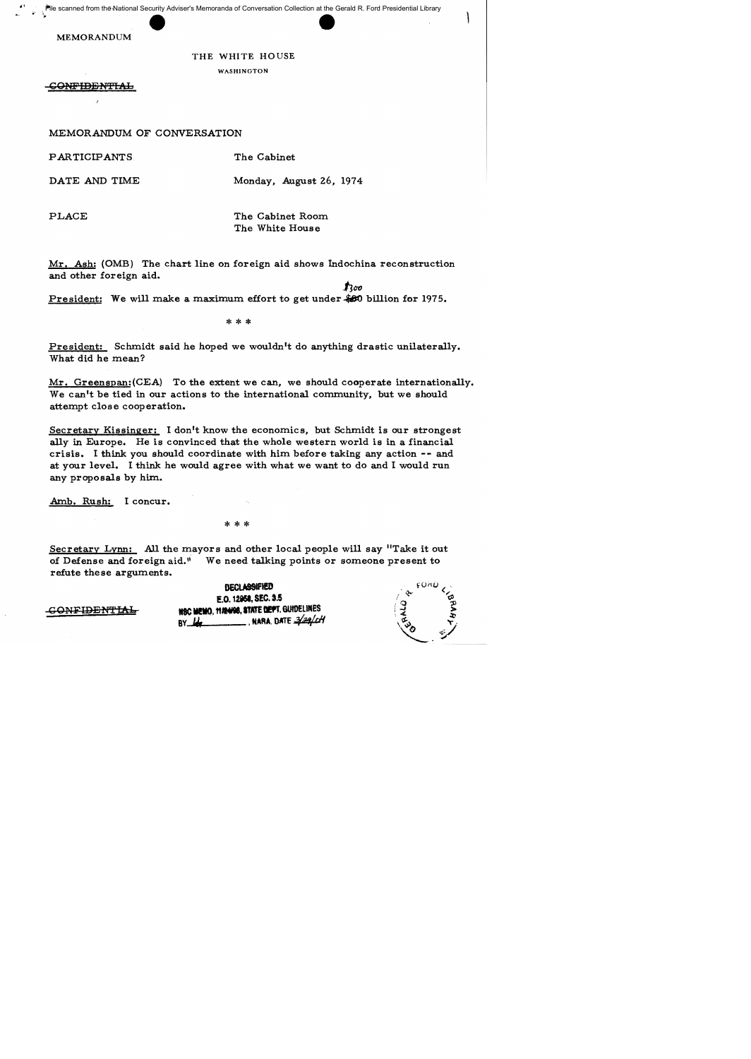File scanned from the National Security Adviser's Memoranda of Conversation Collection at the Gerald R. Ford Presidential Library

MEMORANDUM

## THE WHITE HOUSE

WASHINGTON

GOMPIDEN'fIAL

MEMORANDUM OF CONVERSATION

PARTICIPANTS

DATE AND TIME

Monday, August 26, 1974

 $\mathbf{f}$ l $\infty$ 

The Cabinet

PLACE

The Cabinet Room The White House

Mr. Ash: (OMB) The chart line on foreign aid shows indochina reconstruction and other foreign aid.

President: We will make a maximum effort to get under.\$80 billion for 1975.

\*\*\*

President: Schmidt said he hoped we wouldn't do anything drastic unilaterally. What did he mean?

Mr. Greenspan: (CEA) To the extent we can, we should cooperate internationally. We can't be tied in our actions to the international community, but we should attempt close cooperation.

Secretary Kissinger: I don't know the economics, but Schmidt is our strongest ally in Europe. He is convinced that the whole western world is in a financial crisis. I think you should coordinate with him before taking any action -- and at your level. I think he would agree with what we want to do and I would run any proposals by him.

Amb. Rush: I concur.

\*\*\*

Secretary Lynn: All the mayors and other local people will say "Take it out of Defense and foreign aid." We need talking points or someone present to refute these arguments.

> **DECLASSIFIED** E.O. 12958, SEC. 3.5 NSC MEMO, 11/24/08, STATE DEPT. GUIDELINES BY **,.** , MARA. O«rE .:fa¢H

|  | funu   |
|--|--------|
|  | ൗ<br>я |
|  | 20     |
|  |        |

-C ONFIBE N''f' IAI,...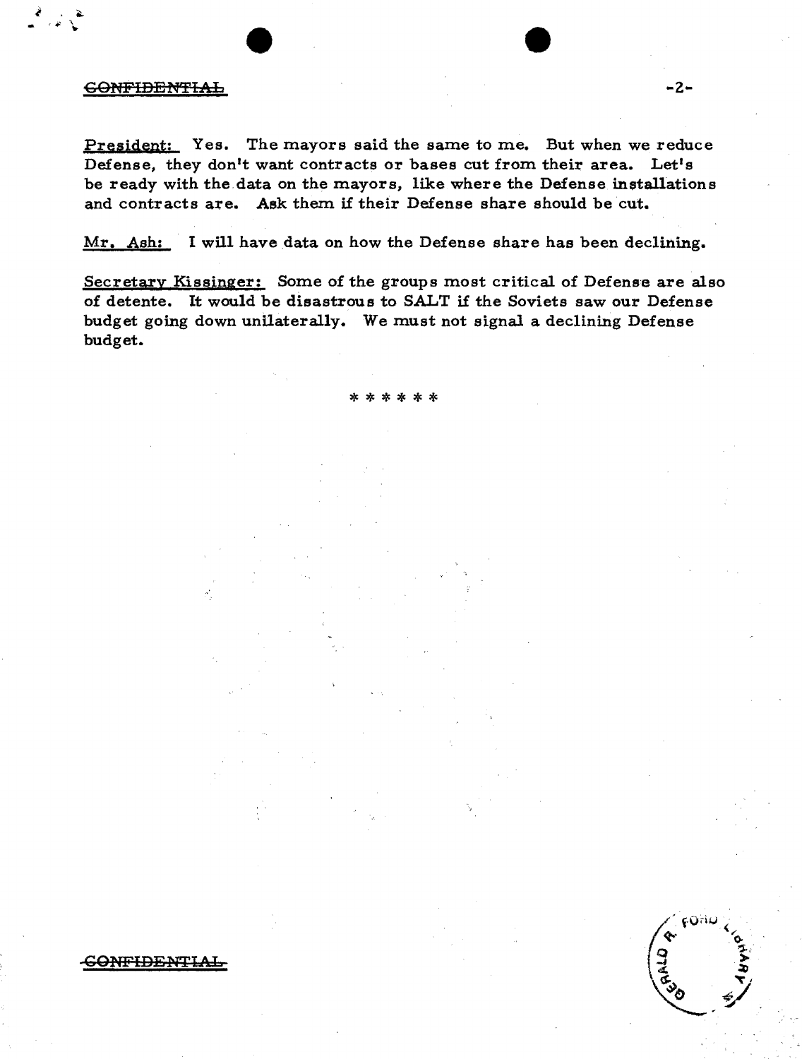## 60NPIDl3N'f'IAL **-2-**

President: Yes. The mayors said the same to me. But when we reduce Defense, they don't want contracts or bases cut from their area. Let's be ready with the data on the mayors, like where the Defense installations and contracts are. Ask them if their Defense share should be cut.

Mr. Ash: I will have data on how the Defense share has been declining.

Secretary Kissinger: Some of the groups most critical of Defense are also of detente. It would be disastrous to SALT if the Soviets saw our Defense budget going down unilaterally. We must not signal a declining Defense budget.

\*\*\*\*\*\*

FON

GO<del>NFIDENTIA</del>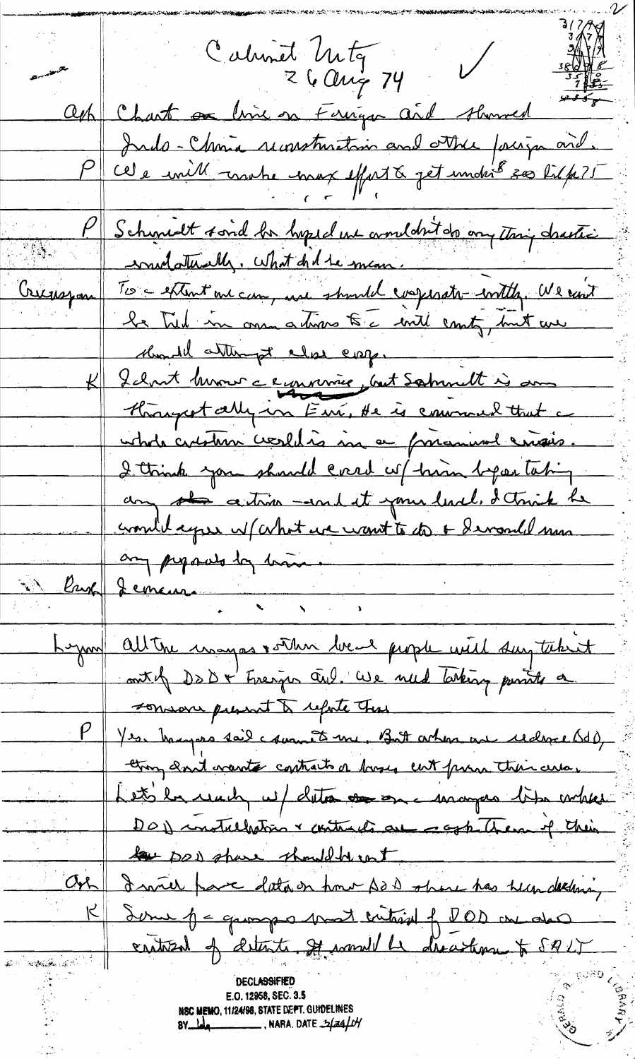Calunet Unty<br>26 Aug 74  $\bigvee$ ash Chart on lime on Farriga and showed Paule-Chris successtantin and other fourge and.<br>Paule mill motre mox effect & get under 500 til p. ?! P Schmit sond be hoped une comment de onything chastic To - estent one can, use should everesate with, We can't Criceropan le Tied in one atmos to c will county, but we Mondel attempt close coop. K I clout hvour a symmers part Samuelt is an Hongretally in Eur, He is commendatent a ustada curstan creschés in a primir ensis. I think you should creed up him befor taking any the action - and it your level, I think he crowled agree w/ contract want to do + devanded min any pipoved by him . <u> Carp</u> Jemeur Lynn alter unagas vorten beach people with surptitute out of DDD+ Freezes and We need taking partite a consore permit to reporte the P yes bargers tail commete me, But orten are cedered body trong and wants contracts a broses cut purs their cuta. Lets be under w/ data come unanges like where DOD installation & contracts are respectiven of their le possabare should be not  $Ov_L$ I will have data on how so is open has been declining Some p = quanger mont critical of DOD one also  $\overline{\mathcal{K}}$ erstozent of detents. It somet he dreambare to 5925 كالمنافض بالمتعاقبة أناسط E.O. 12958, SEC. 3.5 NSC MEMO, 11/24/98, STATE DEPT. GUIDELINES **RADIO**  $8y_{\text{old}}$  , NARA. DATE  $\frac{1}{2}$   $\frac{1}{2}$